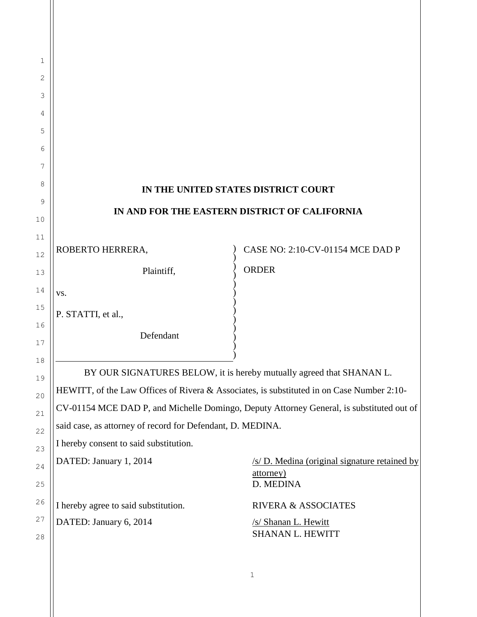| 1        |                                                                                           |                                               |  |
|----------|-------------------------------------------------------------------------------------------|-----------------------------------------------|--|
| 2        |                                                                                           |                                               |  |
| 3        |                                                                                           |                                               |  |
| 4        |                                                                                           |                                               |  |
| 5        |                                                                                           |                                               |  |
| 6        |                                                                                           |                                               |  |
| 7        |                                                                                           |                                               |  |
| 8        | IN THE UNITED STATES DISTRICT COURT                                                       |                                               |  |
| 9        | IN AND FOR THE EASTERN DISTRICT OF CALIFORNIA                                             |                                               |  |
| 10       |                                                                                           |                                               |  |
| 11       | ROBERTO HERRERA,                                                                          | CASE NO: 2:10-CV-01154 MCE DAD P              |  |
| 12       |                                                                                           | <b>ORDER</b>                                  |  |
| 13       | Plaintiff,                                                                                |                                               |  |
| 14       | VS.                                                                                       |                                               |  |
| 15       | P. STATTI, et al.,                                                                        |                                               |  |
| 16       | Defendant                                                                                 |                                               |  |
| 17<br>18 |                                                                                           |                                               |  |
| 19       | BY OUR SIGNATURES BELOW, it is hereby mutually agreed that SHANAN L.                      |                                               |  |
| 20       | HEWITT, of the Law Offices of Rivera & Associates, is substituted in on Case Number 2:10- |                                               |  |
| 21       | CV-01154 MCE DAD P, and Michelle Domingo, Deputy Attorney General, is substituted out of  |                                               |  |
| 22       | said case, as attorney of record for Defendant, D. MEDINA.                                |                                               |  |
| 23       | I hereby consent to said substitution.                                                    |                                               |  |
| 24       | DATED: January 1, 2014                                                                    | /s/ D. Medina (original signature retained by |  |
| 25       |                                                                                           | attorney)<br>D. MEDINA                        |  |
| 26       | I hereby agree to said substitution.                                                      | <b>RIVERA &amp; ASSOCIATES</b>                |  |
| 27<br>28 | DATED: January 6, 2014                                                                    | /s/ Shanan L. Hewitt<br>SHANAN L. HEWITT      |  |
|          |                                                                                           |                                               |  |
|          |                                                                                           | 1                                             |  |